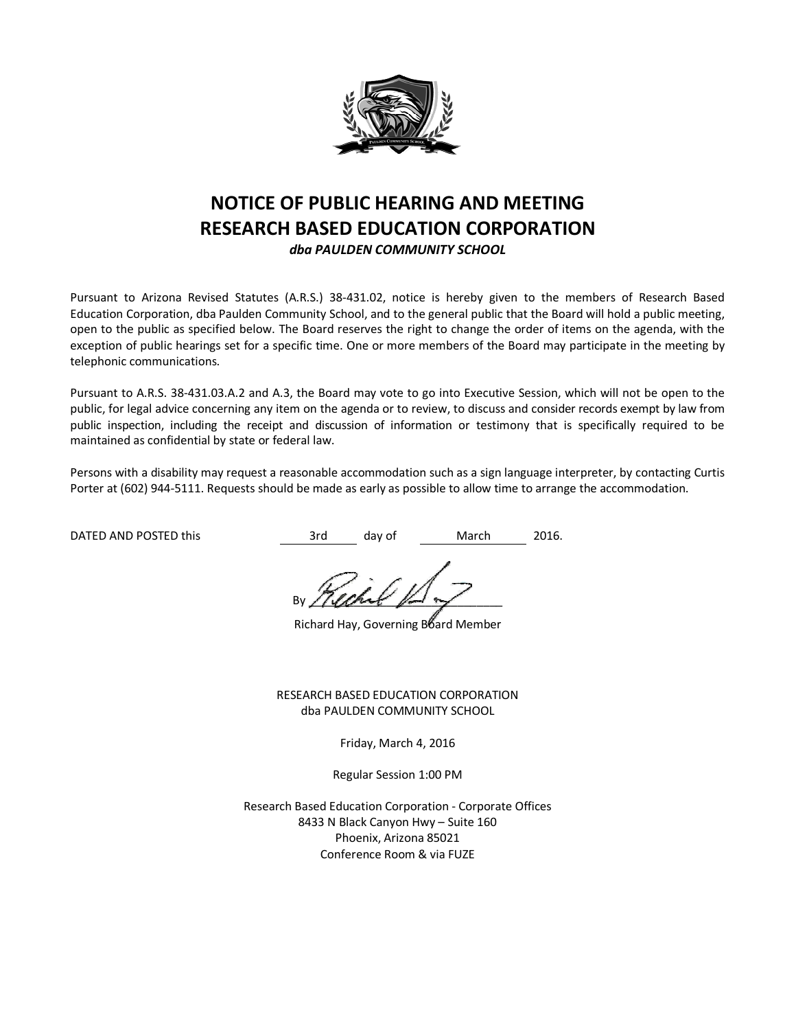

# **NOTICE OF PUBLIC HEARING AND MEETING RESEARCH BASED EDUCATION CORPORATION** *dba PAULDEN COMMUNITY SCHOOL*

Pursuant to Arizona Revised Statutes (A.R.S.) 38-431.02, notice is hereby given to the members of Research Based Education Corporation, dba Paulden Community School, and to the general public that the Board will hold a public meeting, open to the public as specified below. The Board reserves the right to change the order of items on the agenda, with the exception of public hearings set for a specific time. One or more members of the Board may participate in the meeting by telephonic communications.

Pursuant to A.R.S. 38-431.03.A.2 and A.3, the Board may vote to go into Executive Session, which will not be open to the public, for legal advice concerning any item on the agenda or to review, to discuss and consider records exempt by law from public inspection, including the receipt and discussion of information or testimony that is specifically required to be maintained as confidential by state or federal law.

Persons with a disability may request a reasonable accommodation such as a sign language interpreter, by contacting Curtis Porter at (602) 944-5111. Requests should be made as early as possible to allow time to arrange the accommodation.

DATED AND POSTED this **3rd** day of March 2016.

By //lant  $\mathbb{Z}$ 

Richard Hay, Governing Board Member

RESEARCH BASED EDUCATION CORPORATION dba PAULDEN COMMUNITY SCHOOL

Friday, March 4, 2016

Regular Session 1:00 PM

Research Based Education Corporation - Corporate Offices 8433 N Black Canyon Hwy – Suite 160 Phoenix, Arizona 85021 Conference Room & via FUZE